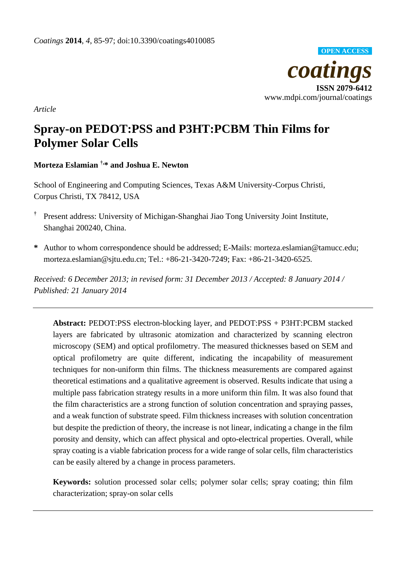

*Article*

# **Spray-on PEDOT:PSS and P3HT:PCBM Thin Films for Polymer Solar Cells**

**Morteza Eslamian †, \* and Joshua E. Newton**

School of Engineering and Computing Sciences, Texas A&M University-Corpus Christi, Corpus Christi, TX 78412, USA

- **†** Present address: University of Michigan-Shanghai Jiao Tong University Joint Institute, Shanghai 200240, China.
- **\*** Author to whom correspondence should be addressed; E-Mails: [morteza.eslamian@tamucc.edu;](mailto:morteza.eslamian@tamucc.edu) [morteza.eslamian@sjtu.edu.cn;](mailto:morteza.eslamian@sjtu.edu.cn) Tel.: +86-21-3420-7249; Fax: +86-21-3420-6525.

*Received: 6 December 2013; in revised form: 31 December 2013 / Accepted: 8 January 2014 / Published: 21 January 2014*

**Abstract:** PEDOT:PSS electron-blocking layer, and PEDOT:PSS + P3HT:PCBM stacked layers are fabricated by ultrasonic atomization and characterized by scanning electron microscopy (SEM) and optical profilometry. The measured thicknesses based on SEM and optical profilometry are quite different, indicating the incapability of measurement techniques for non-uniform thin films. The thickness measurements are compared against theoretical estimations and a qualitative agreement is observed. Results indicate that using a multiple pass fabrication strategy results in a more uniform thin film. It was also found that the film characteristics are a strong function of solution concentration and spraying passes, and a weak function of substrate speed. Film thickness increases with solution concentration but despite the prediction of theory, the increase is not linear, indicating a change in the film porosity and density, which can affect physical and opto-electrical properties. Overall, while spray coating is a viable fabrication process for a wide range of solar cells, film characteristics can be easily altered by a change in process parameters.

**Keywords:** solution processed solar cells; polymer solar cells; spray coating; thin film characterization; spray-on solar cells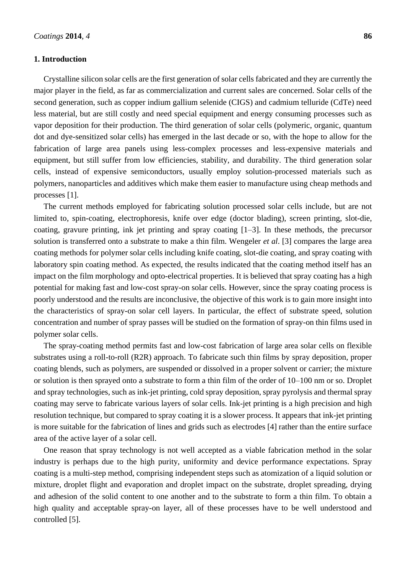# **1. Introduction**

Crystalline silicon solar cells are the first generation of solar cells fabricated and they are currently the major player in the field, as far as commercialization and current sales are concerned. Solar cells of the second generation, such as copper indium gallium selenide (CIGS) and cadmium telluride (CdTe) need less material, but are still costly and need special equipment and energy consuming processes such as vapor deposition for their production. The third generation of solar cells (polymeric, organic, quantum dot and dye-sensitized solar cells) has emerged in the last decade or so, with the hope to allow for the fabrication of large area panels using less-complex processes and less-expensive materials and equipment, but still suffer from low efficiencies, stability, and durability. The third generation solar cells, instead of expensive semiconductors, usually employ solution-processed materials such as polymers, nanoparticles and additives which make them easier to manufacture using cheap methods and processes [1].

The current methods employed for fabricating solution processed solar cells include, but are not limited to, spin-coating, electrophoresis, knife over edge (doctor blading), screen printing, slot-die, coating, gravure printing, ink jet printing and spray coating [1–3]. In these methods, the precursor solution is transferred onto a substrate to make a thin film. Wengeler *et al*. [3] compares the large area coating methods for polymer solar cells including knife coating, slot-die coating, and spray coating with laboratory spin coating method. As expected, the results indicated that the coating method itself has an impact on the film morphology and opto-electrical properties. It is believed that spray coating has a high potential for making fast and low-cost spray-on solar cells. However, since the spray coating process is poorly understood and the results are inconclusive, the objective of this work is to gain more insight into the characteristics of spray-on solar cell layers. In particular, the effect of substrate speed, solution concentration and number of spray passes will be studied on the formation of spray-on thin films used in polymer solar cells.

The spray-coating method permits fast and low-cost fabrication of large area solar cells on flexible substrates using a roll-to-roll (R2R) approach. To fabricate such thin films by spray deposition, proper coating blends, such as polymers, are suspended or dissolved in a proper solvent or carrier; the mixture or solution is then sprayed onto a substrate to form a thin film of the order of 10–100 nm or so. Droplet and spray technologies, such as ink-jet printing, cold spray deposition, spray pyrolysis and thermal spray coating may serve to fabricate various layers of solar cells. Ink-jet printing is a high precision and high resolution technique, but compared to spray coating it is a slower process. It appears that ink-jet printing is more suitable for the fabrication of lines and grids such as electrodes [4] rather than the entire surface area of the active layer of a solar cell.

One reason that spray technology is not well accepted as a viable fabrication method in the solar industry is perhaps due to the high purity, uniformity and device performance expectations. Spray coating is a multi-step method, comprising independent steps such as atomization of a liquid solution or mixture, droplet flight and evaporation and droplet impact on the substrate, droplet spreading, drying and adhesion of the solid content to one another and to the substrate to form a thin film. To obtain a high quality and acceptable spray-on layer, all of these processes have to be well understood and controlled [5].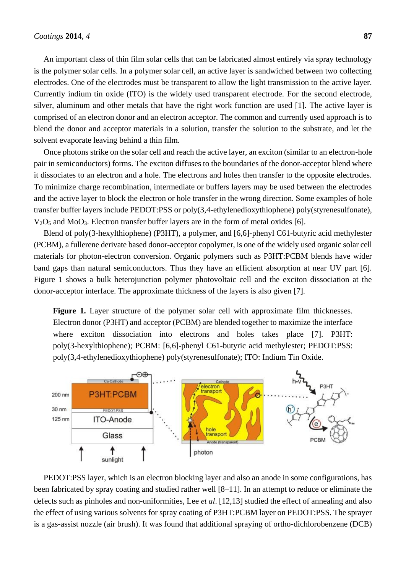An important class of thin film solar cells that can be fabricated almost entirely via spray technology is the polymer solar cells. In a polymer solar cell, an active layer is sandwiched between two collecting electrodes. One of the electrodes must be transparent to allow the light transmission to the active layer. Currently indium tin oxide (ITO) is the widely used transparent electrode. For the second electrode, silver, aluminum and other metals that have the right work function are used [1]. The active layer is comprised of an electron donor and an electron acceptor. The common and currently used approach is to blend the donor and acceptor materials in a solution, transfer the solution to the substrate, and let the solvent evaporate leaving behind a thin film.

Once photons strike on the solar cell and reach the active layer, an exciton (similar to an electron-hole pair in semiconductors) forms. The exciton diffuses to the boundaries of the donor-acceptor blend where it dissociates to an electron and a hole. The electrons and holes then transfer to the opposite electrodes. To minimize charge recombination, intermediate or buffers layers may be used between the electrodes and the active layer to block the electron or hole transfer in the wrong direction. Some examples of hole transfer buffer layers include PEDOT:PSS or poly(3,4-ethylenedioxythiophene) poly(styrenesulfonate),  $V<sub>2</sub>O<sub>5</sub>$  and MoO<sub>3</sub>. Electron transfer buffer layers are in the form of metal oxides [6].

Blend of poly(3-hexylthiophene) (P3HT), a polymer, and [6,6]-phenyl C61-butyric acid methylester (PCBM), a fullerene derivate based donor-acceptor copolymer, is one of the widely used organic solar cell materials for photon-electron conversion. Organic polymers such as P3HT:PCBM blends have wider band gaps than natural semiconductors. Thus they have an efficient absorption at near UV part [6]. Figure 1 shows a bulk heterojunction polymer photovoltaic cell and the exciton dissociation at the donor-acceptor interface. The approximate thickness of the layers is also given [7].

Figure 1. Layer structure of the polymer solar cell with approximate film thicknesses. Electron donor (P3HT) and acceptor (PCBM) are blended together to maximize the interface where exciton dissociation into electrons and holes takes place [7]. P3HT: poly(3-hexylthiophene); PCBM: [6,6]-phenyl C61-butyric acid methylester; PEDOT:PSS: poly(3,4-ethylenedioxythiophene) poly(styrenesulfonate); ITO: Indium Tin Oxide.



PEDOT:PSS layer, which is an electron blocking layer and also an anode in some configurations, has been fabricated by spray coating and studied rather well [8–11]. In an attempt to reduce or eliminate the defects such as pinholes and non-uniformities, Lee *et al*. [12,13] studied the effect of annealing and also the effect of using various solvents for spray coating of P3HT:PCBM layer on PEDOT:PSS. The sprayer is a gas-assist nozzle (air brush). It was found that additional spraying of ortho-dichlorobenzene (DCB)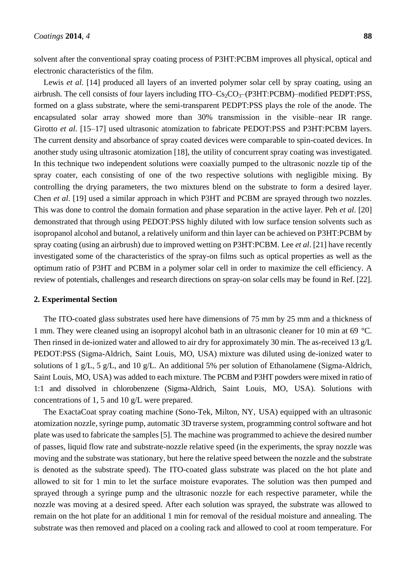solvent after the conventional spray coating process of P3HT:PCBM improves all physical, optical and electronic characteristics of the film.

Lewis *et al.* [14] produced all layers of an inverted polymer solar cell by spray coating, using an airbrush. The cell consists of four layers including  $ITO-Cs_2CO_3-(P3HT:PCBM)$ –modified PEDPT:PSS, formed on a glass substrate, where the semi-transparent PEDPT:PSS plays the role of the anode. The encapsulated solar array showed more than 30% transmission in the visible–near IR range. Girotto *et al*. [15–17] used ultrasonic atomization to fabricate PEDOT:PSS and P3HT:PCBM layers. The current density and absorbance of spray coated devices were comparable to spin-coated devices. In another study using ultrasonic atomization [18], the utility of concurrent spray coating was investigated. In this technique two independent solutions were coaxially pumped to the ultrasonic nozzle tip of the spray coater, each consisting of one of the two respective solutions with negligible mixing. By controlling the drying parameters, the two mixtures blend on the substrate to form a desired layer. Chen *et al*. [19] used a similar approach in which P3HT and PCBM are sprayed through two nozzles. This was done to control the domain formation and phase separation in the active layer. Peh *et al*. [20] demonstrated that through using PEDOT:PSS highly diluted with low surface tension solvents such as isopropanol alcohol and butanol, a relatively uniform and thin layer can be achieved on P3HT:PCBM by spray coating (using an airbrush) due to improved wetting on P3HT:PCBM. Lee *et al*. [21] have recently investigated some of the characteristics of the spray-on films such as optical properties as well as the optimum ratio of P3HT and PCBM in a polymer solar cell in order to maximize the cell efficiency. A review of potentials, challenges and research directions on spray-on solar cells may be found in Ref. [22].

### **2. Experimental Section**

The ITO-coated glass substrates used here have dimensions of 75 mm by 25 mm and a thickness of 1 mm. They were cleaned using an isopropyl alcohol bath in an ultrasonic cleaner for 10 min at 69 °C. Then rinsed in de-ionized water and allowed to air dry for approximately 30 min. The as-received 13 g/L PEDOT:PSS (Sigma-Aldrich, Saint Louis, MO, USA) mixture was diluted using de-ionized water to solutions of 1 g/L, 5 g/L, and 10 g/L. An additional 5% per solution of Ethanolamene (Sigma-Aldrich, Saint Louis, MO, USA) was added to each mixture. The PCBM and P3HT powders were mixed in ratio of 1:1 and dissolved in chlorobenzene (Sigma-Aldrich, Saint Louis, MO, USA). Solutions with concentrations of 1, 5 and 10 g/L were prepared.

The ExactaCoat spray coating machine (Sono-Tek, Milton, NY, USA) equipped with an ultrasonic atomization nozzle, syringe pump, automatic 3D traverse system, programming control software and hot plate was used to fabricate the samples [5]. The machine was programmed to achieve the desired number of passes, liquid flow rate and substrate-nozzle relative speed (in the experiments, the spray nozzle was moving and the substrate was stationary, but here the relative speed between the nozzle and the substrate is denoted as the substrate speed). The ITO-coated glass substrate was placed on the hot plate and allowed to sit for 1 min to let the surface moisture evaporates. The solution was then pumped and sprayed through a syringe pump and the ultrasonic nozzle for each respective parameter, while the nozzle was moving at a desired speed. After each solution was sprayed, the substrate was allowed to remain on the hot plate for an additional 1 min for removal of the residual moisture and annealing. The substrate was then removed and placed on a cooling rack and allowed to cool at room temperature. For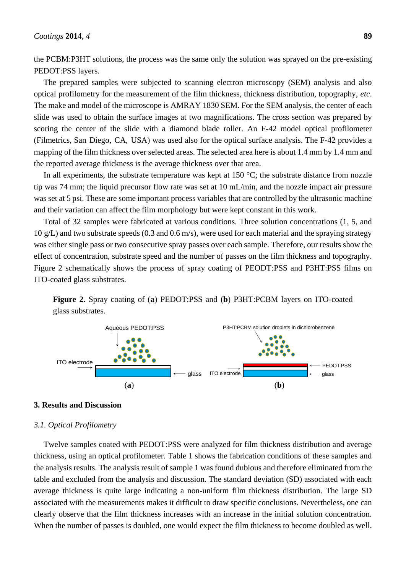the PCBM:P3HT solutions, the process was the same only the solution was sprayed on the pre-existing PEDOT:PSS layers.

The prepared samples were subjected to scanning electron microscopy (SEM) analysis and also optical profilometry for the measurement of the film thickness, thickness distribution, topography, *etc*. The make and model of the microscope is AMRAY 1830 SEM. For the SEM analysis, the center of each slide was used to obtain the surface images at two magnifications. The cross section was prepared by scoring the center of the slide with a diamond blade roller. An F-42 model optical profilometer (Filmetrics, San Diego, CA, USA) was used also for the optical surface analysis. The F-42 provides a mapping of the film thickness over selected areas. The selected area here is about 1.4 mm by 1.4 mm and the reported average thickness is the average thickness over that area.

In all experiments, the substrate temperature was kept at  $150 \text{ °C}$ ; the substrate distance from nozzle tip was 74 mm; the liquid precursor flow rate was set at 10 mL/min, and the nozzle impact air pressure was set at 5 psi. These are some important process variables that are controlled by the ultrasonic machine and their variation can affect the film morphology but were kept constant in this work.

Total of 32 samples were fabricated at various conditions. Three solution concentrations (1, 5, and 10 g/L) and two substrate speeds (0.3 and 0.6 m/s), were used for each material and the spraying strategy was either single pass or two consecutive spray passes over each sample. Therefore, our results show the effect of concentration, substrate speed and the number of passes on the film thickness and topography. Figure 2 schematically shows the process of spray coating of PEODT:PSS and P3HT:PSS films on ITO-coated glass substrates.

**Figure 2.** Spray coating of (**a**) PEDOT:PSS and (**b**) P3HT:PCBM layers on ITO-coated glass substrates.



## **3. Results and Discussion**

#### *3.1. Optical Profilometry*

Twelve samples coated with PEDOT:PSS were analyzed for film thickness distribution and average thickness, using an optical profilometer. Table 1 shows the fabrication conditions of these samples and the analysis results. The analysis result of sample 1 was found dubious and therefore eliminated from the table and excluded from the analysis and discussion. The standard deviation (SD) associated with each average thickness is quite large indicating a non-uniform film thickness distribution. The large SD associated with the measurements makes it difficult to draw specific conclusions. Nevertheless, one can clearly observe that the film thickness increases with an increase in the initial solution concentration. When the number of passes is doubled, one would expect the film thickness to become doubled as well.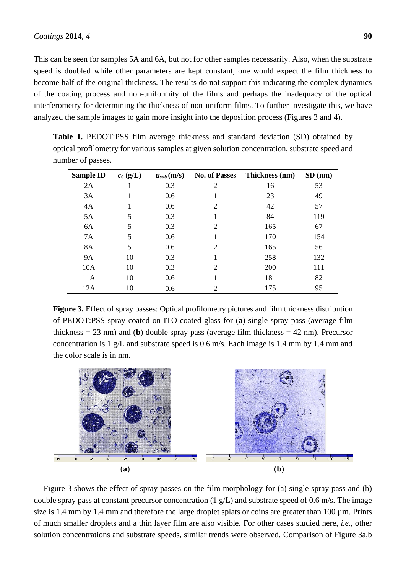This can be seen for samples 5A and 6A, but not for other samples necessarily. Also, when the substrate speed is doubled while other parameters are kept constant, one would expect the film thickness to become half of the original thickness. The results do not support this indicating the complex dynamics of the coating process and non-uniformity of the films and perhaps the inadequacy of the optical interferometry for determining the thickness of non-uniform films. To further investigate this, we have analyzed the sample images to gain more insight into the deposition process (Figures 3 and 4).

| <b>Sample ID</b> | $c_0$ (g/L) | $u_{sub}$ (m/s) | <b>No. of Passes</b> | Thickness (nm) | $SD$ (nm) |
|------------------|-------------|-----------------|----------------------|----------------|-----------|
| 2A               |             | 0.3             | $\overline{2}$       | 16             | 53        |
| 3A               |             | 0.6             |                      | 23             | 49        |
| 4A               |             | 0.6             | $\overline{2}$       | 42             | 57        |
| 5A               | 5           | 0.3             |                      | 84             | 119       |
| 6A               | 5           | 0.3             | $\overline{2}$       | 165            | 67        |
| 7A               | 5           | 0.6             |                      | 170            | 154       |
| <b>8A</b>        | 5           | 0.6             | $\overline{2}$       | 165            | 56        |
| <b>9A</b>        | 10          | 0.3             |                      | 258            | 132       |
| 10A              | 10          | 0.3             | $\overline{2}$       | 200            | 111       |
| 11A              | 10          | 0.6             |                      | 181            | 82        |
| 12A              | 10          | 0.6             | $\overline{2}$       | 175            | 95        |

**Table 1.** PEDOT:PSS film average thickness and standard deviation (SD) obtained by optical profilometry for various samples at given solution concentration, substrate speed and number of passes.

**Figure 3.** Effect of spray passes: Optical profilometry pictures and film thickness distribution of PEDOT:PSS spray coated on ITO-coated glass for (**a**) single spray pass (average film thickness  $= 23$  nm) and (b) double spray pass (average film thickness  $= 42$  nm). Precursor concentration is 1 g/L and substrate speed is 0.6 m/s. Each image is 1.4 mm by 1.4 mm and the color scale is in nm.



Figure 3 shows the effect of spray passes on the film morphology for (a) single spray pass and (b) double spray pass at constant precursor concentration  $(1 \text{ g/L})$  and substrate speed of 0.6 m/s. The image size is 1.4 mm by 1.4 mm and therefore the large droplet splats or coins are greater than 100 µm. Prints of much smaller droplets and a thin layer film are also visible. For other cases studied here, *i.e.*, other solution concentrations and substrate speeds, similar trends were observed. Comparison of Figure 3a,b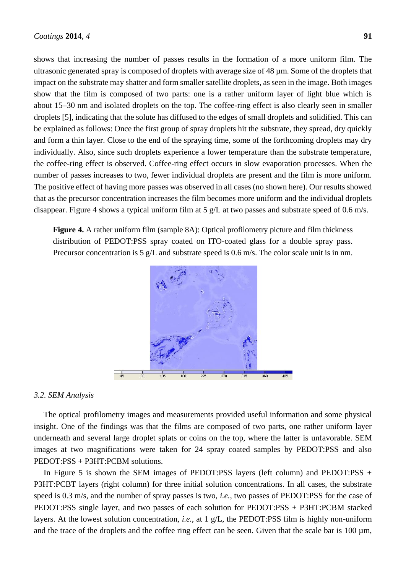shows that increasing the number of passes results in the formation of a more uniform film. The ultrasonic generated spray is composed of droplets with average size of 48 µm. Some of the droplets that impact on the substrate may shatter and form smaller satellite droplets, as seen in the image. Both images show that the film is composed of two parts: one is a rather uniform layer of light blue which is about 15–30 nm and isolated droplets on the top. The coffee-ring effect is also clearly seen in smaller droplets [5], indicating that the solute has diffused to the edges of small droplets and solidified. This can be explained as follows: Once the first group of spray droplets hit the substrate, they spread, dry quickly and form a thin layer. Close to the end of the spraying time, some of the forthcoming droplets may dry individually. Also, since such droplets experience a lower temperature than the substrate temperature, the coffee-ring effect is observed. Coffee-ring effect occurs in slow evaporation processes. When the number of passes increases to two, fewer individual droplets are present and the film is more uniform. The positive effect of having more passes was observed in all cases (no shown here). Our results showed that as the precursor concentration increases the film becomes more uniform and the individual droplets disappear. Figure 4 shows a typical uniform film at 5 g/L at two passes and substrate speed of 0.6 m/s.

**Figure 4.** A rather uniform film (sample 8A): Optical profilometry picture and film thickness distribution of PEDOT:PSS spray coated on ITO-coated glass for a double spray pass. Precursor concentration is 5 g/L and substrate speed is 0.6 m/s. The color scale unit is in nm.



## *3.2. SEM Analysis*

The optical profilometry images and measurements provided useful information and some physical insight. One of the findings was that the films are composed of two parts, one rather uniform layer underneath and several large droplet splats or coins on the top, where the latter is unfavorable. SEM images at two magnifications were taken for 24 spray coated samples by PEDOT:PSS and also PEDOT:PSS + P3HT:PCBM solutions.

In Figure 5 is shown the SEM images of PEDOT:PSS layers (left column) and PEDOT:PSS  $+$ P3HT:PCBT layers (right column) for three initial solution concentrations. In all cases, the substrate speed is 0.3 m/s, and the number of spray passes is two, *i.e.*, two passes of PEDOT:PSS for the case of PEDOT:PSS single layer, and two passes of each solution for PEDOT:PSS + P3HT:PCBM stacked layers. At the lowest solution concentration, *i.e.*, at 1 g/L, the PEDOT:PSS film is highly non-uniform and the trace of the droplets and the coffee ring effect can be seen. Given that the scale bar is 100  $\mu$ m,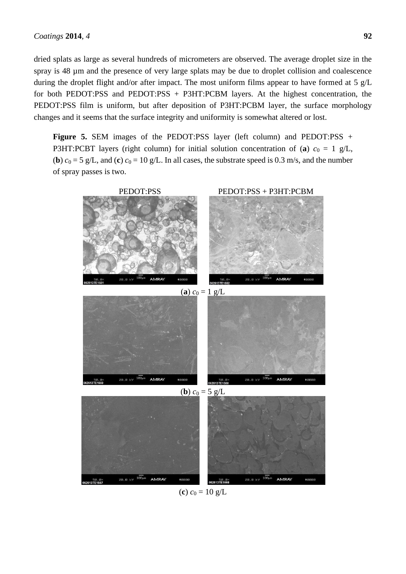dried splats as large as several hundreds of micrometers are observed. The average droplet size in the spray is 48  $\mu$ m and the presence of very large splats may be due to droplet collision and coalescence during the droplet flight and/or after impact. The most uniform films appear to have formed at 5 g/L for both PEDOT:PSS and PEDOT:PSS + P3HT:PCBM layers. At the highest concentration, the PEDOT:PSS film is uniform, but after deposition of P3HT:PCBM layer, the surface morphology changes and it seems that the surface integrity and uniformity is somewhat altered or lost.

**Figure 5.** SEM images of the PEDOT:PSS layer (left column) and PEDOT:PSS + P3HT:PCBT layers (right column) for initial solution concentration of (a)  $c_0 = 1$  g/L, (**b**)  $c_0 = 5$  g/L, and (**c**)  $c_0 = 10$  g/L. In all cases, the substrate speed is 0.3 m/s, and the number of spray passes is two.



(c)  $c_0 = 10 \text{ g/L}$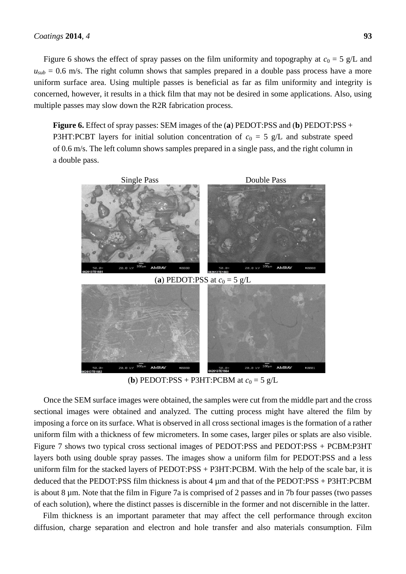Figure 6 shows the effect of spray passes on the film uniformity and topography at  $c_0 = 5$  g/L and  $u<sub>sub</sub> = 0.6$  m/s. The right column shows that samples prepared in a double pass process have a more uniform surface area. Using multiple passes is beneficial as far as film uniformity and integrity is concerned, however, it results in a thick film that may not be desired in some applications. Also, using multiple passes may slow down the R2R fabrication process.

**Figure 6.** Effect of spray passes: SEM images of the (**a**) PEDOT:PSS and (**b**) PEDOT:PSS + P3HT:PCBT layers for initial solution concentration of  $c_0 = 5$  g/L and substrate speed of 0.6 m/s. The left column shows samples prepared in a single pass, and the right column in a double pass.



(**b**) PEDOT:PSS + P3HT:PCBM at  $c_0 = 5$  g/L

Once the SEM surface images were obtained, the samples were cut from the middle part and the cross sectional images were obtained and analyzed. The cutting process might have altered the film by imposing a force on its surface. What is observed in all cross sectional images is the formation of a rather uniform film with a thickness of few micrometers. In some cases, larger piles or splats are also visible. Figure 7 shows two typical cross sectional images of PEDOT:PSS and PEDOT:PSS + PCBM:P3HT layers both using double spray passes. The images show a uniform film for PEDOT:PSS and a less uniform film for the stacked layers of PEDOT:PSS + P3HT:PCBM. With the help of the scale bar, it is deduced that the PEDOT:PSS film thickness is about 4 µm and that of the PEDOT:PSS + P3HT:PCBM is about 8 µm. Note that the film in Figure 7a is comprised of 2 passes and in 7b four passes (two passes of each solution), where the distinct passes is discernible in the former and not discernible in the latter.

Film thickness is an important parameter that may affect the cell performance through exciton diffusion, charge separation and electron and hole transfer and also materials consumption. Film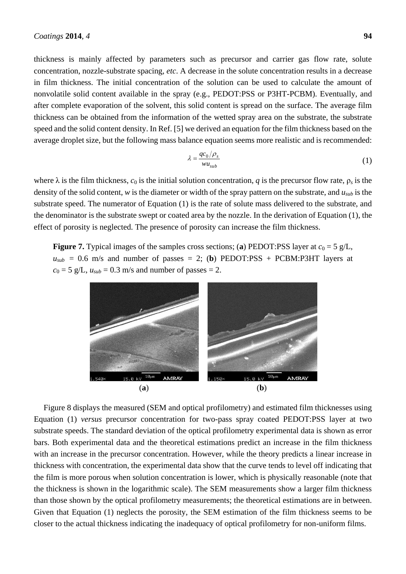thickness is mainly affected by parameters such as precursor and carrier gas flow rate, solute concentration, nozzle-substrate spacing, *etc*. A decrease in the solute concentration results in a decrease in film thickness. The initial concentration of the solution can be used to calculate the amount of nonvolatile solid content available in the spray (e.g., PEDOT:PSS or P3HT-PCBM). Eventually, and after complete evaporation of the solvent, this solid content is spread on the surface. The average film thickness can be obtained from the information of the wetted spray area on the substrate, the substrate speed and the solid content density. In Ref. [5] we derived an equation for the film thickness based on the average droplet size, but the following mass balance equation seems more realistic and is recommended:

$$
\lambda = \frac{qc_0/\rho_s}{w u_{sub}}
$$
 (1)

where  $\lambda$  is the film thickness,  $c_0$  is the initial solution concentration, *q* is the precursor flow rate,  $\rho_s$  is the density of the solid content, *w* is the diameter or width of the spray pattern on the substrate, and *usub* is the substrate speed. The numerator of Equation (1) is the rate of solute mass delivered to the substrate, and the denominator is the substrate swept or coated area by the nozzle. In the derivation of Equation (1), the effect of porosity is neglected. The presence of porosity can increase the film thickness.

**Figure 7.** Typical images of the samples cross sections; (a) PEDOT:PSS layer at  $c_0 = 5$  g/L,  $u_{sub}$  = 0.6 m/s and number of passes = 2; (**b**) PEDOT:PSS + PCBM:P3HT layers at  $c_0 = 5$  g/L,  $u_{sub} = 0.3$  m/s and number of passes = 2.



Figure 8 displays the measured (SEM and optical profilometry) and estimated film thicknesses using Equation (1) *versus* precursor concentration for two-pass spray coated PEDOT:PSS layer at two substrate speeds. The standard deviation of the optical profilometry experimental data is shown as error bars. Both experimental data and the theoretical estimations predict an increase in the film thickness with an increase in the precursor concentration. However, while the theory predicts a linear increase in thickness with concentration, the experimental data show that the curve tends to level off indicating that the film is more porous when solution concentration is lower, which is physically reasonable (note that the thickness is shown in the logarithmic scale). The SEM measurements show a larger film thickness than those shown by the optical profilometry measurements; the theoretical estimations are in between. Given that Equation (1) neglects the porosity, the SEM estimation of the film thickness seems to be closer to the actual thickness indicating the inadequacy of optical profilometry for non-uniform films.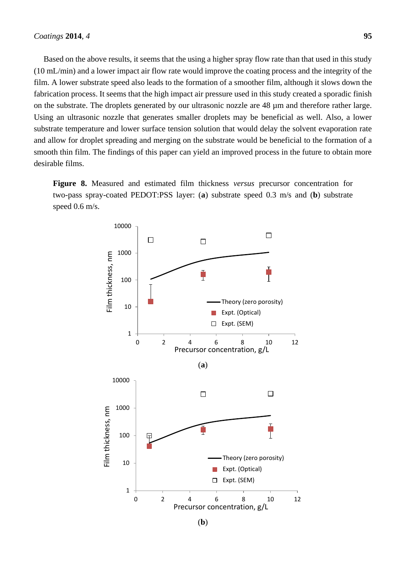Based on the above results, it seems that the using a higher spray flow rate than that used in this study (10 mL/min) and a lower impact air flow rate would improve the coating process and the integrity of the film. A lower substrate speed also leads to the formation of a smoother film, although it slows down the fabrication process. It seems that the high impact air pressure used in this study created a sporadic finish on the substrate. The droplets generated by our ultrasonic nozzle are 48 µm and therefore rather large. Using an ultrasonic nozzle that generates smaller droplets may be beneficial as well. Also, a lower substrate temperature and lower surface tension solution that would delay the solvent evaporation rate and allow for droplet spreading and merging on the substrate would be beneficial to the formation of a smooth thin film. The findings of this paper can yield an improved process in the future to obtain more desirable films.

**Figure 8.** Measured and estimated film thickness *versus* precursor concentration for two-pass spray-coated PEDOT:PSS layer: (**a**) substrate speed 0.3 m/s and (**b**) substrate speed 0.6 m/s.

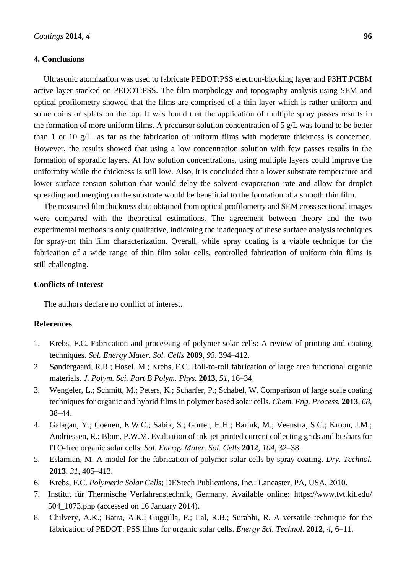## **4. Conclusions**

Ultrasonic atomization was used to fabricate PEDOT:PSS electron-blocking layer and P3HT:PCBM active layer stacked on PEDOT:PSS. The film morphology and topography analysis using SEM and optical profilometry showed that the films are comprised of a thin layer which is rather uniform and some coins or splats on the top. It was found that the application of multiple spray passes results in the formation of more uniform films. A precursor solution concentration of 5 g/L was found to be better than 1 or 10 g/L, as far as the fabrication of uniform films with moderate thickness is concerned. However, the results showed that using a low concentration solution with few passes results in the formation of sporadic layers. At low solution concentrations, using multiple layers could improve the uniformity while the thickness is still low. Also, it is concluded that a lower substrate temperature and lower surface tension solution that would delay the solvent evaporation rate and allow for droplet spreading and merging on the substrate would be beneficial to the formation of a smooth thin film.

The measured film thickness data obtained from optical profilometry and SEM cross sectional images were compared with the theoretical estimations. The agreement between theory and the two experimental methods is only qualitative, indicating the inadequacy of these surface analysis techniques for spray-on thin film characterization. Overall, while spray coating is a viable technique for the fabrication of a wide range of thin film solar cells, controlled fabrication of uniform thin films is still challenging.

# **Conflicts of Interest**

The authors declare no conflict of interest.

## **References**

- 1. Krebs, F.C. Fabrication and processing of polymer solar cells: A review of printing and coating techniques. *Sol. Energy Mater. Sol. Cells* **2009**, *93*, 394–412.
- 2. Søndergaard, R.R.; Hosel, M.; Krebs, F.C. Roll-to-roll fabrication of large area functional organic materials. *J. Polym. Sci. Part B Polym. Phys.* **2013**, *51*, 16–34.
- 3. Wengeler, L.; Schmitt, M.; Peters, K.; Scharfer, P.; Schabel, W. Comparison of large scale coating techniques for organic and hybrid films in polymer based solar cells. *Chem. Eng. Process.* **2013**, *68*, 38–44.
- 4. Galagan, Y.; Coenen, E.W.C.; Sabik, S.; Gorter, H.H.; Barink, M.; Veenstra, S.C.; Kroon, J.M.; Andriessen, R.; Blom, P.W.M. Evaluation of ink-jet printed current collecting grids and busbars for ITO-free organic solar cells. *Sol. Energy Mater. Sol. Cells* **2012**, *104*, 32–38.
- 5. Eslamian, M. A model for the fabrication of polymer solar cells by spray coating. *Dry. Technol.* **2013**, *31*, 405–413.
- 6. Krebs, F.C. *Polymeric Solar Cells*; DEStech Publications, Inc.: Lancaster, PA, USA, 2010.
- 7. Institut für Thermische Verfahrenstechnik, Germany. Available online: https://www.tvt.kit.edu/ 504\_1073.php (accessed on 16 January 2014).
- 8. Chilvery, A.K.; Batra, A.K.; Guggilla, P.; Lal, R.B.; Surabhi, R. A versatile technique for the fabrication of PEDOT: PSS films for organic solar cells. *Energy Sci. Technol.* **2012**, *4*, 6–11.